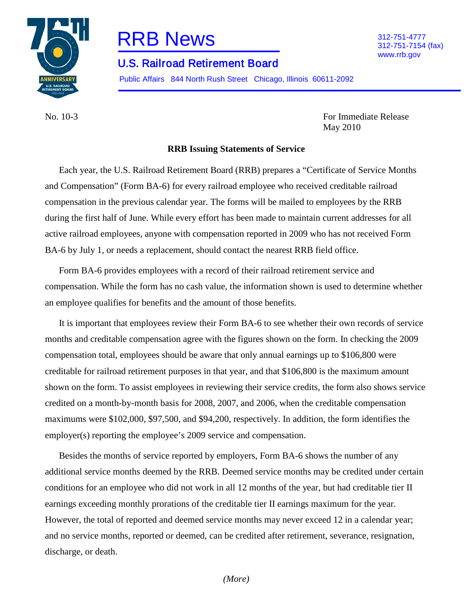

# RRB News 312-751-4777

# U.S. Railroad Retirement Board

Public Affairs 844 North Rush Street Chicago, Illinois 60611-2092

No. 10-3 For Immediate Release

312-751-7154 (fax) www.rrb.gov

May 2010

**RRB Issuing Statements of Service**

Each year, the U.S. Railroad Retirement Board (RRB) prepares a "Certificate of Service Months and Compensation" (Form BA-6) for every railroad employee who received creditable railroad compensation in the previous calendar year. The forms will be mailed to employees by the RRB during the first half of June. While every effort has been made to maintain current addresses for all active railroad employees, anyone with compensation reported in 2009 who has not received Form BA-6 by July 1, or needs a replacement, should contact the nearest RRB field office.

Form BA-6 provides employees with a record of their railroad retirement service and compensation. While the form has no cash value, the information shown is used to determine whether an employee qualifies for benefits and the amount of those benefits.

It is important that employees review their Form BA-6 to see whether their own records of service months and creditable compensation agree with the figures shown on the form. In checking the 2009 compensation total, employees should be aware that only annual earnings up to \$106,800 were creditable for railroad retirement purposes in that year, and that \$106,800 is the maximum amount shown on the form. To assist employees in reviewing their service credits, the form also shows service credited on a month-by-month basis for 2008, 2007, and 2006, when the creditable compensation maximums were \$102,000, \$97,500, and \$94,200, respectively. In addition, the form identifies the employer(s) reporting the employee's 2009 service and compensation.

Besides the months of service reported by employers, Form BA-6 shows the number of any additional service months deemed by the RRB. Deemed service months may be credited under certain conditions for an employee who did not work in all 12 months of the year, but had creditable tier II earnings exceeding monthly prorations of the creditable tier II earnings maximum for the year. However, the total of reported and deemed service months may never exceed 12 in a calendar year; and no service months, reported or deemed, can be credited after retirement, severance, resignation, discharge, or death.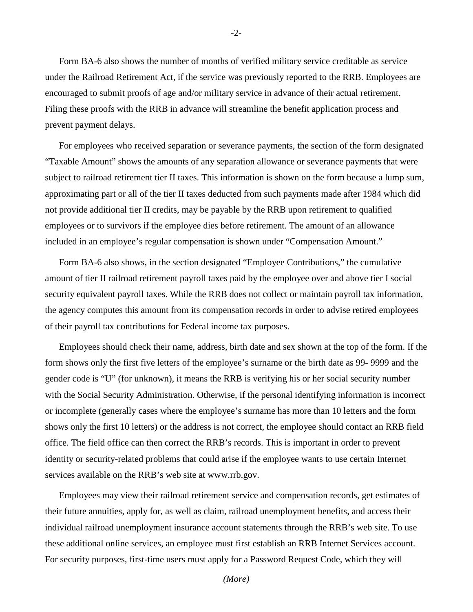Form BA-6 also shows the number of months of verified military service creditable as service under the Railroad Retirement Act, if the service was previously reported to the RRB. Employees are encouraged to submit proofs of age and/or military service in advance of their actual retirement. Filing these proofs with the RRB in advance will streamline the benefit application process and prevent payment delays.

For employees who received separation or severance payments, the section of the form designated "Taxable Amount" shows the amounts of any separation allowance or severance payments that were subject to railroad retirement tier II taxes. This information is shown on the form because a lump sum, approximating part or all of the tier II taxes deducted from such payments made after 1984 which did not provide additional tier II credits, may be payable by the RRB upon retirement to qualified employees or to survivors if the employee dies before retirement. The amount of an allowance included in an employee's regular compensation is shown under "Compensation Amount."

Form BA-6 also shows, in the section designated "Employee Contributions," the cumulative amount of tier II railroad retirement payroll taxes paid by the employee over and above tier I social security equivalent payroll taxes. While the RRB does not collect or maintain payroll tax information, the agency computes this amount from its compensation records in order to advise retired employees of their payroll tax contributions for Federal income tax purposes.

Employees should check their name, address, birth date and sex shown at the top of the form. If the form shows only the first five letters of the employee's surname or the birth date as 99- 9999 and the gender code is "U" (for unknown), it means the RRB is verifying his or her social security number with the Social Security Administration. Otherwise, if the personal identifying information is incorrect or incomplete (generally cases where the employee's surname has more than 10 letters and the form shows only the first 10 letters) or the address is not correct, the employee should contact an RRB field office. The field office can then correct the RRB's records. This is important in order to prevent identity or security-related problems that could arise if the employee wants to use certain Internet services available on the RRB's web site at [www.rrb.gov.](http://www.rrb.gov/)

Employees may view their railroad retirement service and compensation records, get estimates of their future annuities, apply for, as well as claim, railroad unemployment benefits, and access their individual railroad unemployment insurance account statements through the RRB's web site. To use these additional online services, an employee must first establish an RRB Internet Services account. For security purposes, first-time users must apply for a Password Request Code, which they will

-2-

*(More)*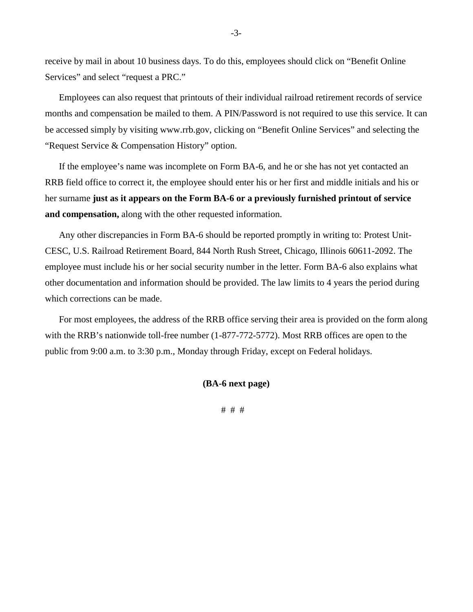receive by mail in about 10 business days. To do this, employees should click on "Benefit Online Services" and select "request a PRC."

Employees can also request that printouts of their individual railroad retirement records of service months and compensation be mailed to them. A PIN/Password is not required to use this service. It can be accessed simply by visiting www.rrb.gov, clicking on "Benefit Online Services" and selecting the "Request Service & Compensation History" option.

If the employee's name was incomplete on Form BA-6, and he or she has not yet contacted an RRB field office to correct it, the employee should enter his or her first and middle initials and his or her surname **just as it appears on the Form BA-6 or a previously furnished printout of service and compensation,** along with the other requested information.

Any other discrepancies in Form BA-6 should be reported promptly in writing to: Protest Unit-CESC, U.S. Railroad Retirement Board, 844 North Rush Street, Chicago, Illinois 60611-2092. The employee must include his or her social security number in the letter. Form BA-6 also explains what other documentation and information should be provided. The law limits to 4 years the period during which corrections can be made.

For most employees, the address of the RRB office serving their area is provided on the form along with the RRB's nationwide toll-free number (1-877-772-5772). Most RRB offices are open to the public from 9:00 a.m. to 3:30 p.m., Monday through Friday, except on Federal holidays.

**(BA-6 next page)** 

# # #